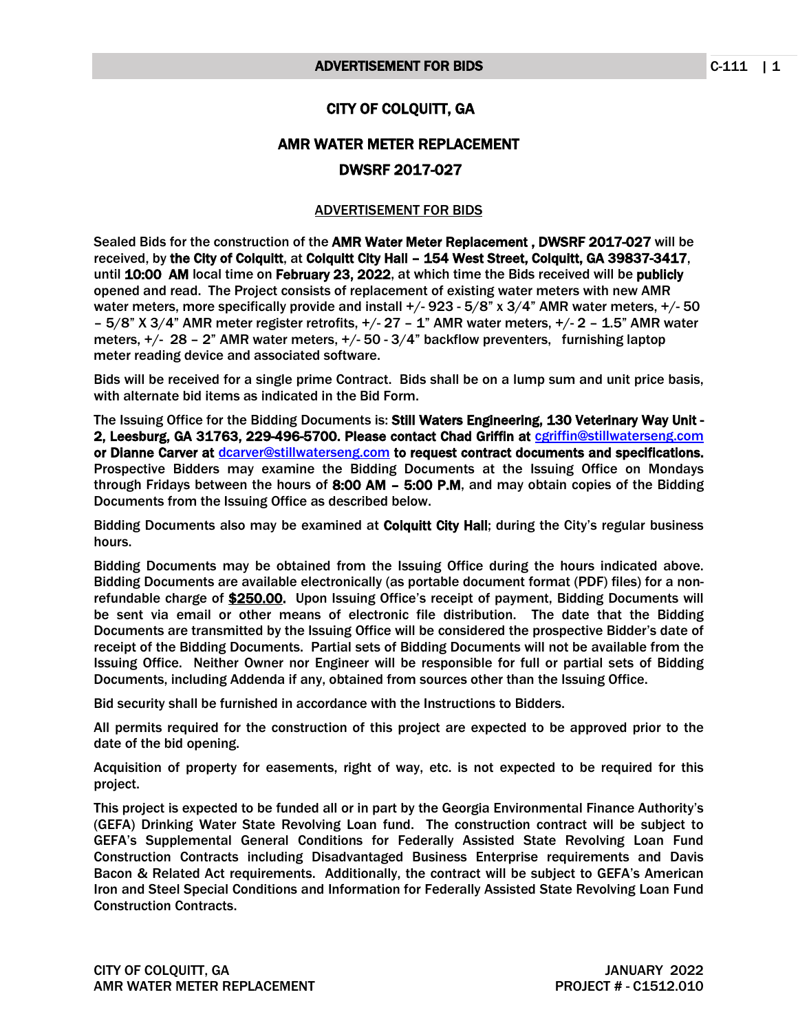## CITY OF COLQUITT, GA

## AMR WATER METER REPLACEMENT DWSRF 2017-027

## ADVERTISEMENT FOR BIDS

Sealed Bids for the construction of the AMR Water Meter Replacement , DWSRF 2017-027 will be received, by the City of Colquitt, at Colquitt City Hall – 154 West Street, Colquitt, GA 39837-3417, until 10:00 AM local time on February 23, 2022, at which time the Bids received will be publicly opened and read. The Project consists of replacement of existing water meters with new AMR water meters, more specifically provide and install +/- 923 - 5/8" x 3/4" AMR water meters, +/- 50 – 5/8" X 3/4" AMR meter register retrofits, +/- 27 – 1" AMR water meters, +/- 2 – 1.5" AMR water meters, +/- 28 – 2" AMR water meters, +/- 50 - 3/4" backflow preventers, furnishing laptop meter reading device and associated software.

Bids will be received for a single prime Contract. Bids shall be on a lump sum and unit price basis, with alternate bid items as indicated in the Bid Form.

The Issuing Office for the Bidding Documents is: Still Waters Engineering, 130 Veterinary Way Unit - 2, Leesburg, GA 31763, 229-496-5700. Please contact Chad Griffin at [cgriffin@stillwaterseng.com](mailto:cgriffin@stillwaterseng.com) or Dianne Carver at [dcarver@stillwaterseng.com](mailto:dcarver@stillwaterseng.com) to request contract documents and specifications. Prospective Bidders may examine the Bidding Documents at the Issuing Office on Mondays through Fridays between the hours of  $8:00$  AM  $-$  5:00 P.M, and may obtain copies of the Bidding Documents from the Issuing Office as described below.

Bidding Documents also may be examined at Colquitt City Hall; during the City's regular business hours.

Bidding Documents may be obtained from the Issuing Office during the hours indicated above. Bidding Documents are available electronically (as portable document format (PDF) files) for a nonrefundable charge of \$250.00. Upon Issuing Office's receipt of payment, Bidding Documents will be sent via email or other means of electronic file distribution. The date that the Bidding Documents are transmitted by the Issuing Office will be considered the prospective Bidder's date of receipt of the Bidding Documents. Partial sets of Bidding Documents will not be available from the Issuing Office. Neither Owner nor Engineer will be responsible for full or partial sets of Bidding Documents, including Addenda if any, obtained from sources other than the Issuing Office.

Bid security shall be furnished in accordance with the Instructions to Bidders.

All permits required for the construction of this project are expected to be approved prior to the date of the bid opening.

Acquisition of property for easements, right of way, etc. is not expected to be required for this project.

This project is expected to be funded all or in part by the Georgia Environmental Finance Authority's (GEFA) Drinking Water State Revolving Loan fund. The construction contract will be subject to GEFA's Supplemental General Conditions for Federally Assisted State Revolving Loan Fund Construction Contracts including Disadvantaged Business Enterprise requirements and Davis Bacon & Related Act requirements. Additionally, the contract will be subject to GEFA's American Iron and Steel Special Conditions and Information for Federally Assisted State Revolving Loan Fund Construction Contracts.